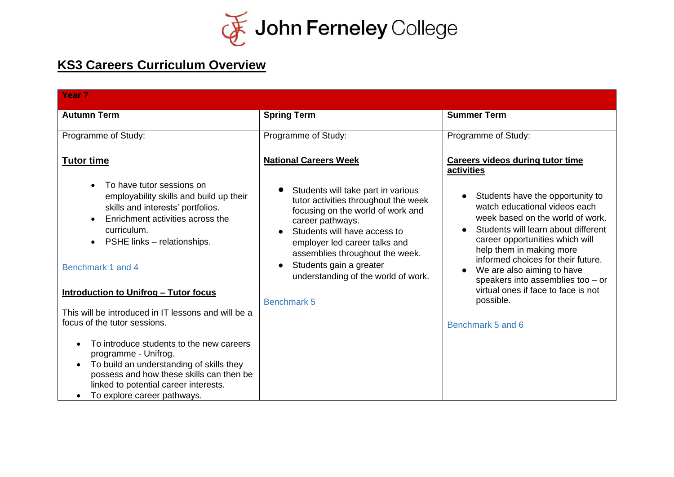

## **KS3 Careers Curriculum Overview**

| Year <sub>7</sub>                                                                                                                                                                                                                |                                                                                                                                                                                                                                                                                                           |                                                                                                                                                                                                                                                                                                                                     |
|----------------------------------------------------------------------------------------------------------------------------------------------------------------------------------------------------------------------------------|-----------------------------------------------------------------------------------------------------------------------------------------------------------------------------------------------------------------------------------------------------------------------------------------------------------|-------------------------------------------------------------------------------------------------------------------------------------------------------------------------------------------------------------------------------------------------------------------------------------------------------------------------------------|
| <b>Autumn Term</b>                                                                                                                                                                                                               | <b>Spring Term</b>                                                                                                                                                                                                                                                                                        | <b>Summer Term</b>                                                                                                                                                                                                                                                                                                                  |
| Programme of Study:                                                                                                                                                                                                              | Programme of Study:                                                                                                                                                                                                                                                                                       | Programme of Study:                                                                                                                                                                                                                                                                                                                 |
| <b>Tutor time</b>                                                                                                                                                                                                                | <b>National Careers Week</b>                                                                                                                                                                                                                                                                              | <b>Careers videos during tutor time</b><br>activities                                                                                                                                                                                                                                                                               |
| To have tutor sessions on<br>employability skills and build up their<br>skills and interests' portfolios.<br>Enrichment activities across the<br>curriculum.<br>PSHE links - relationships.<br>Benchmark 1 and 4                 | Students will take part in various<br>tutor activities throughout the week<br>focusing on the world of work and<br>career pathways.<br>Students will have access to<br>employer led career talks and<br>assemblies throughout the week.<br>Students gain a greater<br>understanding of the world of work. | Students have the opportunity to<br>watch educational videos each<br>week based on the world of work.<br>Students will learn about different<br>career opportunities which will<br>help them in making more<br>informed choices for their future.<br>We are also aiming to have<br>$\bullet$<br>speakers into assemblies too $-$ or |
| <b>Introduction to Unifrog - Tutor focus</b><br>This will be introduced in IT lessons and will be a                                                                                                                              | <b>Benchmark 5</b>                                                                                                                                                                                                                                                                                        | virtual ones if face to face is not<br>possible.                                                                                                                                                                                                                                                                                    |
| focus of the tutor sessions.                                                                                                                                                                                                     |                                                                                                                                                                                                                                                                                                           | Benchmark 5 and 6                                                                                                                                                                                                                                                                                                                   |
| To introduce students to the new careers<br>programme - Unifrog.<br>To build an understanding of skills they<br>possess and how these skills can then be<br>linked to potential career interests.<br>To explore career pathways. |                                                                                                                                                                                                                                                                                                           |                                                                                                                                                                                                                                                                                                                                     |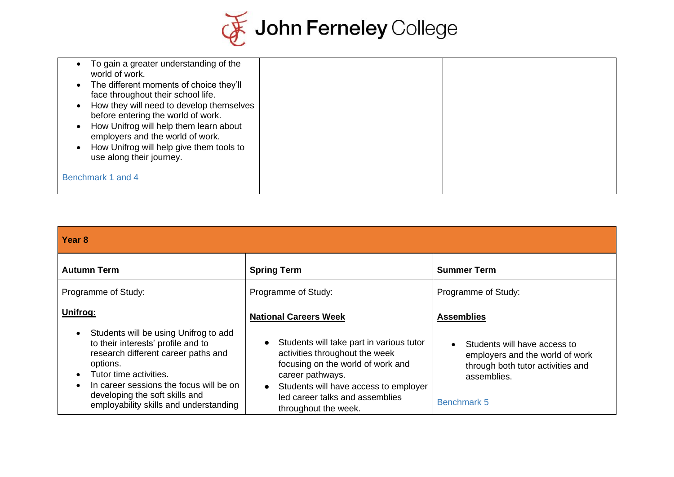

| To gain a greater understanding of the<br>world of work.<br>The different moments of choice they'll<br>$\bullet$<br>face throughout their school life.<br>How they will need to develop themselves<br>before entering the world of work.<br>How Unifrog will help them learn about<br>employers and the world of work.<br>How Unifrog will help give them tools to<br>use along their journey. |  |
|------------------------------------------------------------------------------------------------------------------------------------------------------------------------------------------------------------------------------------------------------------------------------------------------------------------------------------------------------------------------------------------------|--|
| Benchmark 1 and 4                                                                                                                                                                                                                                                                                                                                                                              |  |

| <b>Year 8</b>                                                                                                                                                                                                                                                                   |                                                                                                                                                                                                                                         |                                                                                                                                           |
|---------------------------------------------------------------------------------------------------------------------------------------------------------------------------------------------------------------------------------------------------------------------------------|-----------------------------------------------------------------------------------------------------------------------------------------------------------------------------------------------------------------------------------------|-------------------------------------------------------------------------------------------------------------------------------------------|
| <b>Autumn Term</b>                                                                                                                                                                                                                                                              | <b>Spring Term</b>                                                                                                                                                                                                                      | <b>Summer Term</b>                                                                                                                        |
| Programme of Study:                                                                                                                                                                                                                                                             | Programme of Study:                                                                                                                                                                                                                     | Programme of Study:                                                                                                                       |
| Unifrog:                                                                                                                                                                                                                                                                        | <b>National Careers Week</b>                                                                                                                                                                                                            | <b>Assemblies</b>                                                                                                                         |
| Students will be using Unifrog to add<br>to their interests' profile and to<br>research different career paths and<br>options.<br>Tutor time activities.<br>In career sessions the focus will be on<br>developing the soft skills and<br>employability skills and understanding | Students will take part in various tutor<br>activities throughout the week<br>focusing on the world of work and<br>career pathways.<br>Students will have access to employer<br>led career talks and assemblies<br>throughout the week. | Students will have access to<br>employers and the world of work<br>through both tutor activities and<br>assemblies.<br><b>Benchmark 5</b> |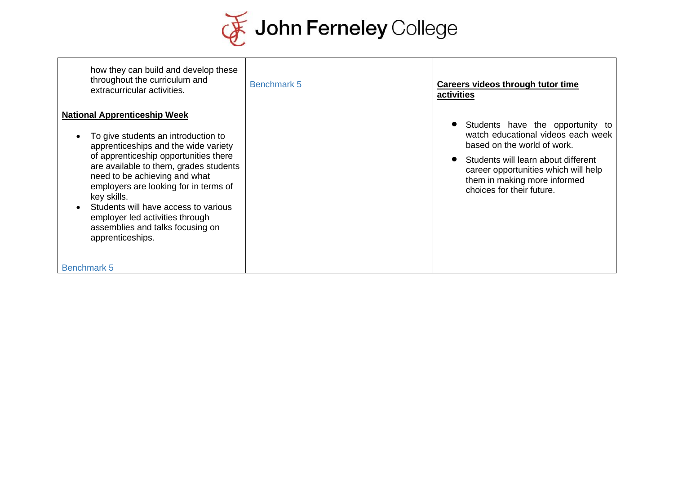

| how they can build and develop these<br>throughout the curriculum and<br>extracurricular activities.                                                                                                                                                                                                                                                                                                                              | Benchmark 5 | Careers videos through tutor time<br>activities                                                                                                                                                                                                   |
|-----------------------------------------------------------------------------------------------------------------------------------------------------------------------------------------------------------------------------------------------------------------------------------------------------------------------------------------------------------------------------------------------------------------------------------|-------------|---------------------------------------------------------------------------------------------------------------------------------------------------------------------------------------------------------------------------------------------------|
| <b>National Apprenticeship Week</b><br>To give students an introduction to<br>apprenticeships and the wide variety<br>of apprenticeship opportunities there<br>are available to them, grades students<br>need to be achieving and what<br>employers are looking for in terms of<br>key skills.<br>Students will have access to various<br>employer led activities through<br>assemblies and talks focusing on<br>apprenticeships. |             | Students have the opportunity to<br>watch educational videos each week<br>based on the world of work.<br>Students will learn about different<br>career opportunities which will help<br>them in making more informed<br>choices for their future. |
| <b>Benchmark 5</b>                                                                                                                                                                                                                                                                                                                                                                                                                |             |                                                                                                                                                                                                                                                   |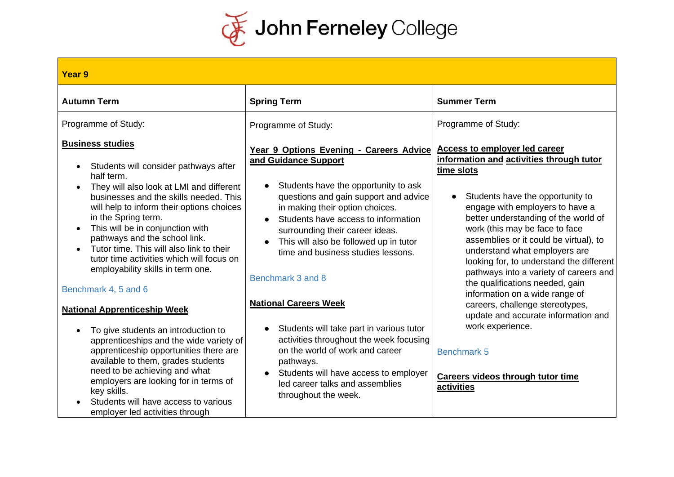

| Year 9                                                                                                                                                                                                                                                                                                                                                                                                                                                                                                                                                                                                                                                                                                                                                                                                                                           |                                                                                                                                                                                                                                                                                                                                                                                                                                                                                                                                                                                                                                               |                                                                                                                                                                                                                                                                                                                                                                                                                                                                                                                                                                                                                                                                     |
|--------------------------------------------------------------------------------------------------------------------------------------------------------------------------------------------------------------------------------------------------------------------------------------------------------------------------------------------------------------------------------------------------------------------------------------------------------------------------------------------------------------------------------------------------------------------------------------------------------------------------------------------------------------------------------------------------------------------------------------------------------------------------------------------------------------------------------------------------|-----------------------------------------------------------------------------------------------------------------------------------------------------------------------------------------------------------------------------------------------------------------------------------------------------------------------------------------------------------------------------------------------------------------------------------------------------------------------------------------------------------------------------------------------------------------------------------------------------------------------------------------------|---------------------------------------------------------------------------------------------------------------------------------------------------------------------------------------------------------------------------------------------------------------------------------------------------------------------------------------------------------------------------------------------------------------------------------------------------------------------------------------------------------------------------------------------------------------------------------------------------------------------------------------------------------------------|
| <b>Autumn Term</b>                                                                                                                                                                                                                                                                                                                                                                                                                                                                                                                                                                                                                                                                                                                                                                                                                               | <b>Spring Term</b>                                                                                                                                                                                                                                                                                                                                                                                                                                                                                                                                                                                                                            | <b>Summer Term</b>                                                                                                                                                                                                                                                                                                                                                                                                                                                                                                                                                                                                                                                  |
| Programme of Study:                                                                                                                                                                                                                                                                                                                                                                                                                                                                                                                                                                                                                                                                                                                                                                                                                              | Programme of Study:                                                                                                                                                                                                                                                                                                                                                                                                                                                                                                                                                                                                                           | Programme of Study:                                                                                                                                                                                                                                                                                                                                                                                                                                                                                                                                                                                                                                                 |
| <b>Business studies</b><br>Students will consider pathways after<br>half term.<br>They will also look at LMI and different<br>businesses and the skills needed. This<br>will help to inform their options choices<br>in the Spring term.<br>This will be in conjunction with<br>pathways and the school link.<br>Tutor time. This will also link to their<br>tutor time activities which will focus on<br>employability skills in term one.<br>Benchmark 4, 5 and 6<br><b>National Apprenticeship Week</b><br>To give students an introduction to<br>apprenticeships and the wide variety of<br>apprenticeship opportunities there are<br>available to them, grades students<br>need to be achieving and what<br>employers are looking for in terms of<br>key skills.<br>Students will have access to various<br>employer led activities through | Year 9 Options Evening - Careers Advice<br>and Guidance Support<br>Students have the opportunity to ask<br>questions and gain support and advice<br>in making their option choices.<br>Students have access to information<br>surrounding their career ideas.<br>This will also be followed up in tutor<br>time and business studies lessons.<br>Benchmark 3 and 8<br><b>National Careers Week</b><br>Students will take part in various tutor<br>activities throughout the week focusing<br>on the world of work and career<br>pathways.<br>Students will have access to employer<br>led career talks and assemblies<br>throughout the week. | <b>Access to employer led career</b><br>information and activities through tutor<br>time slots<br>Students have the opportunity to<br>engage with employers to have a<br>better understanding of the world of<br>work (this may be face to face<br>assemblies or it could be virtual), to<br>understand what employers are<br>looking for, to understand the different<br>pathways into a variety of careers and<br>the qualifications needed, gain<br>information on a wide range of<br>careers, challenge stereotypes,<br>update and accurate information and<br>work experience.<br><b>Benchmark 5</b><br><b>Careers videos through tutor time</b><br>activities |